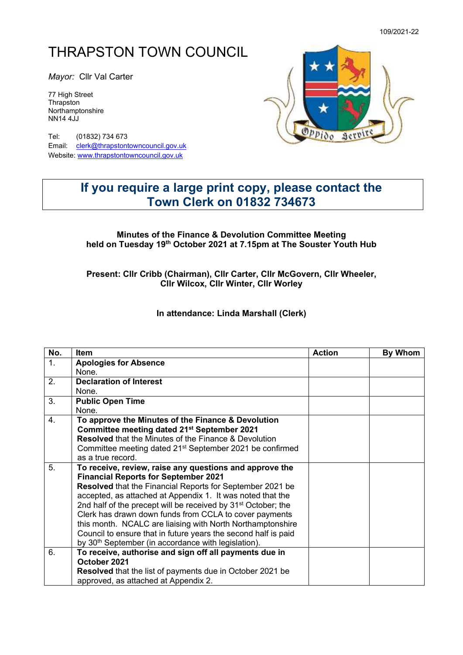# THRAPSTON TOWN COUNCIL

*Mayor:* Cllr Val Carter

77 High Street **Thrapston** Northamptonshire NN14 4JJ

Tel: (01832) 734 673 Email: [clerk@thrapstontowncouncil.gov.uk](mailto:clerk@thrapstontowncouncil.gov.uk) Website[: www.thrapstontowncouncil.gov.uk](http://www.thrapstontowncouncil.gov.uk/)



## **If you require a large print copy, please contact the Town Clerk on 01832 734673**

#### **Minutes of the Finance & Devolution Committee Meeting held on Tuesday 19th October 2021 at 7.15pm at The Souster Youth Hub**

#### **Present: Cllr Cribb (Chairman), Cllr Carter, Cllr McGovern, Cllr Wheeler, Cllr Wilcox, Cllr Winter, Cllr Worley**

**In attendance: Linda Marshall (Clerk)**

| No. | Item                                                                      | <b>Action</b> | <b>By Whom</b> |
|-----|---------------------------------------------------------------------------|---------------|----------------|
| 1.  | <b>Apologies for Absence</b>                                              |               |                |
|     | None.                                                                     |               |                |
| 2.  | <b>Declaration of Interest</b>                                            |               |                |
|     | None.                                                                     |               |                |
| 3.  | <b>Public Open Time</b>                                                   |               |                |
|     | None.                                                                     |               |                |
| 4.  | To approve the Minutes of the Finance & Devolution                        |               |                |
|     | Committee meeting dated 21 <sup>st</sup> September 2021                   |               |                |
|     | <b>Resolved</b> that the Minutes of the Finance & Devolution              |               |                |
|     | Committee meeting dated 21 <sup>st</sup> September 2021 be confirmed      |               |                |
|     | as a true record.                                                         |               |                |
| 5.  | To receive, review, raise any questions and approve the                   |               |                |
|     | <b>Financial Reports for September 2021</b>                               |               |                |
|     | Resolved that the Financial Reports for September 2021 be                 |               |                |
|     | accepted, as attached at Appendix 1. It was noted that the                |               |                |
|     | 2nd half of the precept will be received by 31 <sup>st</sup> October; the |               |                |
|     | Clerk has drawn down funds from CCLA to cover payments                    |               |                |
|     | this month. NCALC are liaising with North Northamptonshire                |               |                |
|     | Council to ensure that in future years the second half is paid            |               |                |
|     | by 30 <sup>th</sup> September (in accordance with legislation).           |               |                |
| 6.  | To receive, authorise and sign off all payments due in                    |               |                |
|     | October 2021                                                              |               |                |
|     | <b>Resolved</b> that the list of payments due in October 2021 be          |               |                |
|     | approved, as attached at Appendix 2.                                      |               |                |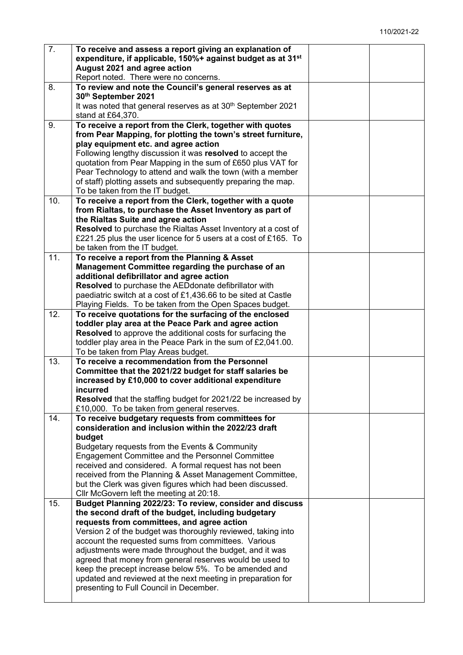| 7.  | To receive and assess a report giving an explanation of                                                             |  |
|-----|---------------------------------------------------------------------------------------------------------------------|--|
|     | expenditure, if applicable, 150%+ against budget as at 31 <sup>st</sup>                                             |  |
|     | August 2021 and agree action                                                                                        |  |
|     | Report noted. There were no concerns.                                                                               |  |
| 8.  | To review and note the Council's general reserves as at<br>30th September 2021                                      |  |
|     | It was noted that general reserves as at 30 <sup>th</sup> September 2021                                            |  |
|     | stand at £64,370.                                                                                                   |  |
| 9.  | To receive a report from the Clerk, together with quotes                                                            |  |
|     | from Pear Mapping, for plotting the town's street furniture,                                                        |  |
|     | play equipment etc. and agree action                                                                                |  |
|     | Following lengthy discussion it was resolved to accept the                                                          |  |
|     | quotation from Pear Mapping in the sum of £650 plus VAT for                                                         |  |
|     | Pear Technology to attend and walk the town (with a member                                                          |  |
|     | of staff) plotting assets and subsequently preparing the map.                                                       |  |
|     | To be taken from the IT budget.                                                                                     |  |
| 10. | To receive a report from the Clerk, together with a quote                                                           |  |
|     | from Rialtas, to purchase the Asset Inventory as part of                                                            |  |
|     | the Rialtas Suite and agree action<br>Resolved to purchase the Rialtas Asset Inventory at a cost of                 |  |
|     | £221.25 plus the user licence for 5 users at a cost of £165. To                                                     |  |
|     | be taken from the IT budget.                                                                                        |  |
| 11. | To receive a report from the Planning & Asset                                                                       |  |
|     | Management Committee regarding the purchase of an                                                                   |  |
|     | additional defibrillator and agree action                                                                           |  |
|     | Resolved to purchase the AEDdonate defibrillator with                                                               |  |
|     | paediatric switch at a cost of £1,436.66 to be sited at Castle                                                      |  |
|     | Playing Fields. To be taken from the Open Spaces budget.                                                            |  |
| 12. | To receive quotations for the surfacing of the enclosed<br>toddler play area at the Peace Park and agree action     |  |
|     | Resolved to approve the additional costs for surfacing the                                                          |  |
|     | toddler play area in the Peace Park in the sum of £2,041.00.                                                        |  |
|     | To be taken from Play Areas budget.                                                                                 |  |
| 13. | To receive a recommendation from the Personnel                                                                      |  |
|     | Committee that the 2021/22 budget for staff salaries be                                                             |  |
|     | increased by £10,000 to cover additional expenditure                                                                |  |
|     | incurred                                                                                                            |  |
|     | <b>Resolved</b> that the staffing budget for 2021/22 be increased by<br>£10,000. To be taken from general reserves. |  |
| 14. | To receive budgetary requests from committees for                                                                   |  |
|     | consideration and inclusion within the 2022/23 draft                                                                |  |
|     | budget                                                                                                              |  |
|     | Budgetary requests from the Events & Community                                                                      |  |
|     | Engagement Committee and the Personnel Committee                                                                    |  |
|     | received and considered. A formal request has not been                                                              |  |
|     | received from the Planning & Asset Management Committee,                                                            |  |
|     | but the Clerk was given figures which had been discussed.                                                           |  |
| 15. | Cllr McGovern left the meeting at 20:18.<br>Budget Planning 2022/23: To review, consider and discuss                |  |
|     | the second draft of the budget, including budgetary                                                                 |  |
|     | requests from committees, and agree action                                                                          |  |
|     | Version 2 of the budget was thoroughly reviewed, taking into                                                        |  |
|     | account the requested sums from committees. Various                                                                 |  |
|     | adjustments were made throughout the budget, and it was                                                             |  |
|     | agreed that money from general reserves would be used to                                                            |  |
|     | keep the precept increase below 5%. To be amended and                                                               |  |
|     | updated and reviewed at the next meeting in preparation for                                                         |  |
|     | presenting to Full Council in December.                                                                             |  |
|     |                                                                                                                     |  |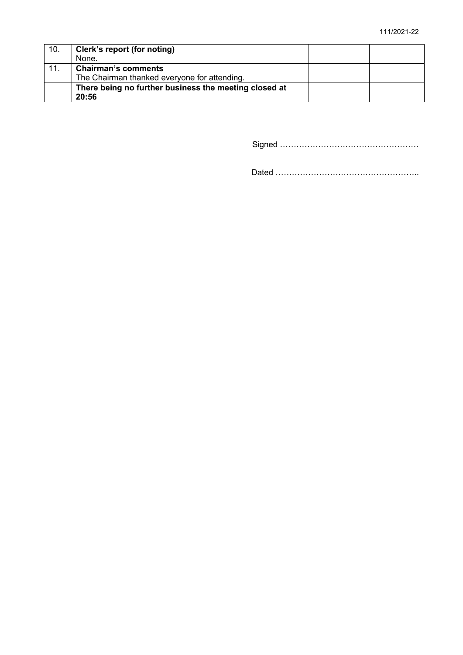| 10. | Clerk's report (for noting)                           |  |
|-----|-------------------------------------------------------|--|
|     | None.                                                 |  |
| 11. | <b>Chairman's comments</b>                            |  |
|     | The Chairman thanked everyone for attending.          |  |
|     | There being no further business the meeting closed at |  |
|     | 20:56                                                 |  |

Signed ……………………………………………

Dated ……………………………………………..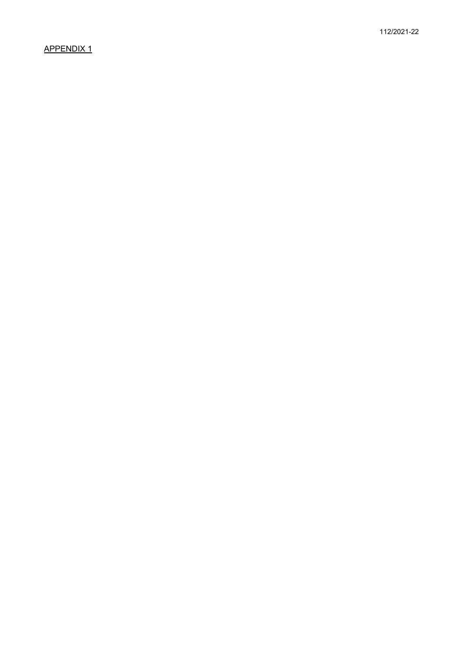### APPENDIX 1